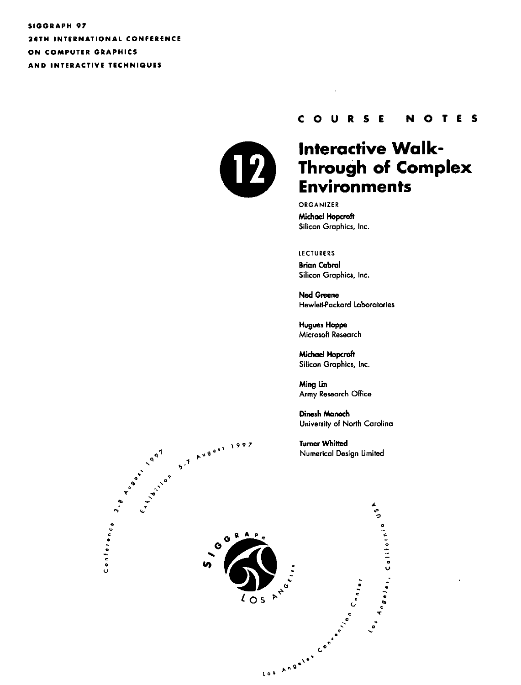**SIGGRAPH 97** 24TH INTERNATIONAL CONFERENCE ON COMPUTER GRAPHICS AND INTERACTIVE TECHNIQUES



#### COURSE NOTES

# **Interactive Walk-**Through of Complex **Environments**

ORGANIZER Michael Hopcraft Silicon Graphics, Inc.

#### **LECTURERS**

**Brian Cabral** Silicon Graphics, Inc.

**Ned Greene Hewlett-Packard Laboratories** 

**Hugues Hoppe** Microsoft Research

**Michael Hopcroft** Silicon Graphics, Inc.

Ming Lin Army Research Office

Dinesh Manach University of North Carolina

**Turner Whitted** Numerical Design Limited

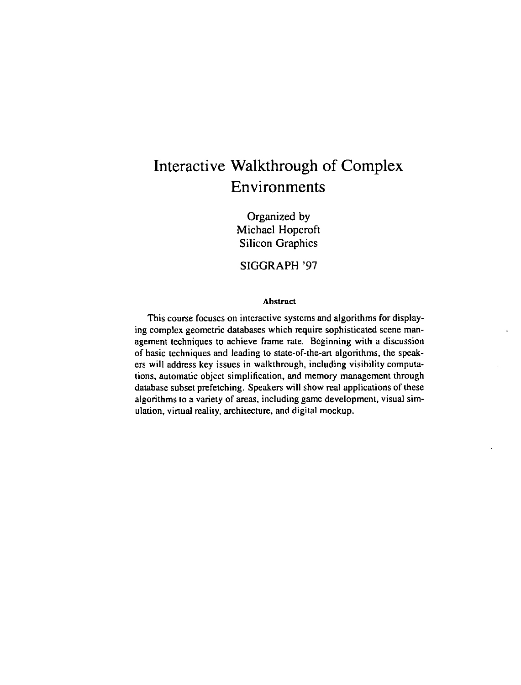# **Interactive Walkthrough of Complex Environments**

Organized by Michael Hopcroft Silicon Graphics

SIGGRAPH '97

#### Abstract

This course focuses on interactive systems and algorithms for displaying complex geometric databases which require sophisticated scene management techniques to achieve frame rate. Beginning with a discussion of basic techniques and leading to state-of-the-art algorithms, the speakers will address key issues in walkthrough, including visibility computations, automatic object simplification, and memory management through database subset prefetching. Speakers will show real applications of these algorithms to a variety of areas, including game development, visual simulation, virtual reality, architecture, and digital mockup.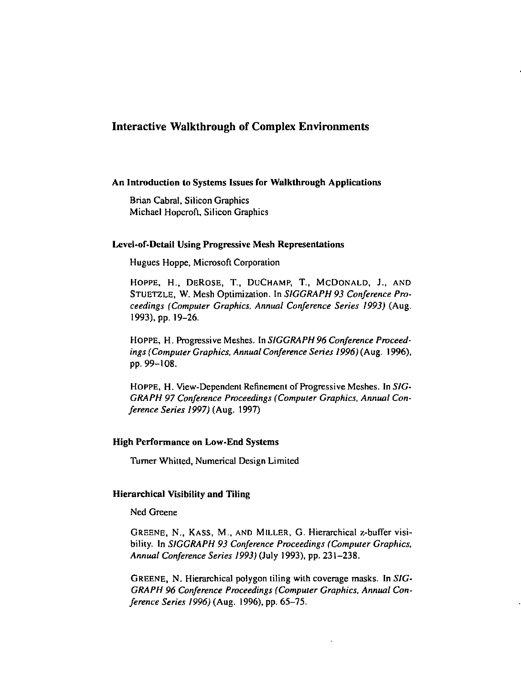# Interactive Walkthrough of Complex Environments

#### An Introduction to Systems Issues for Walkthrough Applications

Brian Cabral, Silicon Graphics Michael Hopcroft, Silicon Graphics

# Level-of-Detail Using Progressive Mesh Representations

Hugues Hoppe, Microsoft Corporation

HOPPE, H., DEROSE, T., DUCHAMP, T., McDONALD, J., AND STUETZLE, W. Mesh Optimization. In *SIGGRAPH 93 Conference Proceedings (CompUier Graphics, Annual Conference Series 1993)* (Aug. 1993). pp. 19-26.

HOPPE, H. Progressive Meshes. In *SIGGRAPH 96 Conference Proceedings (Computer Graphics, Annual Conference Series 1996)* (Aug. 1996), pp. 99-108.

HOPPE, H. View-Dependent Refinement of Progressive Meshes. In *SIC-GRAPH 97 Conference Proceedings (Computer Graphics, Annual Conference Series 1997)* (Aug. 1997)

## High Performance on Low-End Systems

Turner Whitted, Numerical Design Limited

#### Hierarchical Visibility and Tiling

Ned Greene

GREENE, N., KASS, M., AND MILLER, G. Hierarchical z-buffer visibility. In *SJGGRAPH 93 Conference Proceedings (Computer Graphics, Annual Conference Series 1993)* (July 1993), pp. 231-238.

GREENE, N. Hierarchical polygon tiling with coverage masks. In *SIC-GRAPH 96 Conference Proceedings (Computer Graphics, Annual Conference Series 1996)* (Aug. 1996), pp. 65-75.